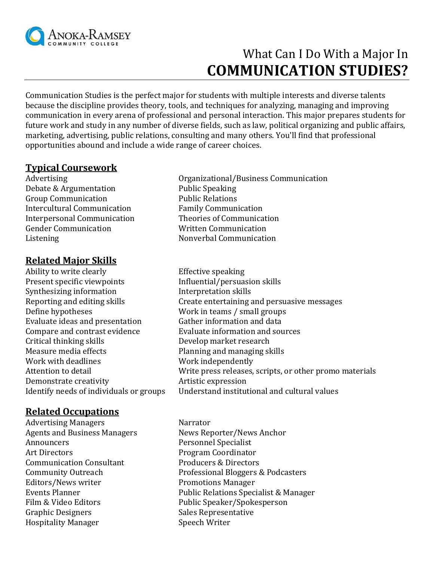

# What Can I Do With a Major In **COMMUNICATION STUDIES?**

Communication Studies is the perfect major for students with multiple interests and diverse talents because the discipline provides theory, tools, and techniques for analyzing, managing and improving communication in every arena of professional and personal interaction. This major prepares students for future work and study in any number of diverse fields, such as law, political organizing and public affairs, marketing, advertising, public relations, consulting and many others. You'll find that professional opportunities abound and include a wide range of career choices.

#### **Typical Coursework**

Debate & Argumentation Public Speaking Group Communication **Public Relations** Intercultural Communication Family Communication Interpersonal Communication Theories of Communication Gender Communication Written Communication Listening Nonverbal Communication

## **Related Major Skills**

Ability to write clearly Effective speaking Present specific viewpoints Influential/persuasion skills Synthesizing information Interpretation skills Define hypotheses Work in teams / small groups Evaluate ideas and presentation Gather information and data Compare and contrast evidence Evaluate information and sources Critical thinking skills Develop market research Measure media effects Planning and managing skills Work with deadlines Work independently Demonstrate creativity **Artistic expression** 

## **Related Occupations**

Advertising Managers Narrator Agents and Business Managers News Reporter/News Anchor Announcers Personnel Specialist Art Directors Program Coordinator Communication Consultant Producers & Directors Editors/News writer **Promotions Manager** Graphic Designers Sales Representative Hospitality Manager Speech Writer

- Advertising **Advertising Communication Organizational/Business Communication**
- Reporting and editing skills Create entertaining and persuasive messages Attention to detail **Musician Control** Write press releases, scripts, or other promo materials Identify needs of individuals or groups Understand institutional and cultural values
- Community Outreach Professional Bloggers & Podcasters Events Planner Public Relations Specialist & Manager Film & Video Editors Public Speaker/Spokesperson